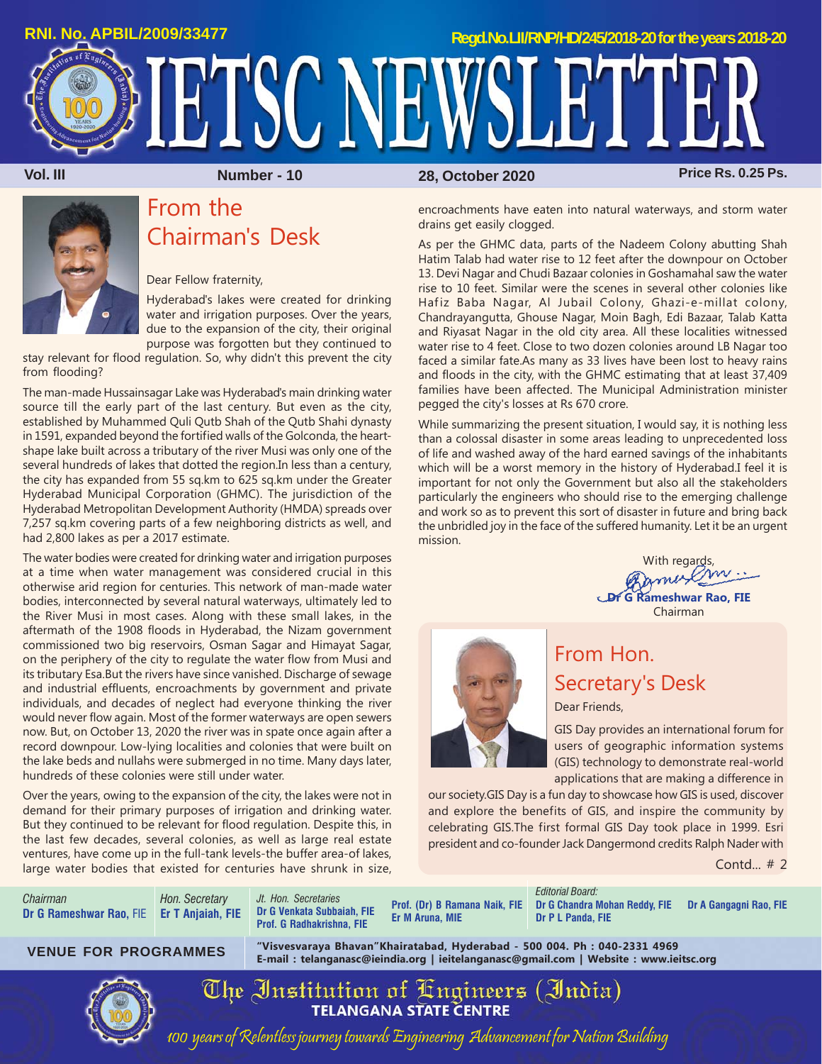

**Vol. III Number - 10 Price Rs. 0.25 Ps. 28, October 2020**

# From the Chairman's Desk

Dear Fellow fraternity,

Hyderabad's lakes were created for drinking water and irrigation purposes. Over the years, due to the expansion of the city, their original purpose was forgotten but they continued to

stay relevant for flood regulation. So, why didn't this prevent the city from flooding?

The man-made Hussainsagar Lake was Hyderabad's main drinking water source till the early part of the last century. But even as the city, established by Muhammed Quli Qutb Shah of the Qutb Shahi dynasty in 1591, expanded beyond the fortified walls of the Golconda, the heartshape lake built across a tributary of the river Musi was only one of the several hundreds of lakes that dotted the region.In less than a century, the city has expanded from 55 sq.km to 625 sq.km under the Greater Hyderabad Municipal Corporation (GHMC). The jurisdiction of the Hyderabad Metropolitan Development Authority (HMDA) spreads over 7,257 sq.km covering parts of a few neighboring districts as well, and had 2,800 lakes as per a 2017 estimate.

The water bodies were created for drinking water and irrigation purposes at a time when water management was considered crucial in this otherwise arid region for centuries. This network of man-made water bodies, interconnected by several natural waterways, ultimately led to the River Musi in most cases. Along with these small lakes, in the aftermath of the 1908 floods in Hyderabad, the Nizam government commissioned two big reservoirs, Osman Sagar and Himayat Sagar, on the periphery of the city to regulate the water flow from Musi and its tributary Esa.But the rivers have since vanished. Discharge of sewage and industrial effluents, encroachments by government and private individuals, and decades of neglect had everyone thinking the river would never flow again. Most of the former waterways are open sewers now. But, on October 13, 2020 the river was in spate once again after a record downpour. Low-lying localities and colonies that were built on the lake beds and nullahs were submerged in no time. Many days later, hundreds of these colonies were still under water.

Over the years, owing to the expansion of the city, the lakes were not in demand for their primary purposes of irrigation and drinking water. But they continued to be relevant for flood regulation. Despite this, in the last few decades, several colonies, as well as large real estate ventures, have come up in the full-tank levels-the buffer area-of lakes, large water bodies that existed for centuries have shrunk in size,

encroachments have eaten into natural waterways, and storm water drains get easily clogged.

As per the GHMC data, parts of the Nadeem Colony abutting Shah Hatim Talab had water rise to 12 feet after the downpour on October 13. Devi Nagar and Chudi Bazaar colonies in Goshamahal saw the water rise to 10 feet. Similar were the scenes in several other colonies like Hafiz Baba Nagar, Al Jubail Colony, Ghazi-e-millat colony, Chandrayangutta, Ghouse Nagar, Moin Bagh, Edi Bazaar, Talab Katta and Riyasat Nagar in the old city area. All these localities witnessed water rise to 4 feet. Close to two dozen colonies around LB Nagar too faced a similar fate.As many as 33 lives have been lost to heavy rains and floods in the city, with the GHMC estimating that at least 37,409 families have been affected. The Municipal Administration minister pegged the city's losses at Rs 670 crore.

While summarizing the present situation, I would say, it is nothing less than a colossal disaster in some areas leading to unprecedented loss of life and washed away of the hard earned savings of the inhabitants which will be a worst memory in the history of Hyderabad.I feel it is important for not only the Government but also all the stakeholders particularly the engineers who should rise to the emerging challenge and work so as to prevent this sort of disaster in future and bring back the unbridled joy in the face of the suffered humanity. Let it be an urgent mission.

> With regards,<br>amusely **Dr G Rameshwar Rao, FIE** Chairman



## From Hon. Secretary's Desk Dear Friends,

GIS Day provides an international forum for users of geographic information systems (GIS) technology to demonstrate real-world applications that are making a difference in

our society.GIS Day is a fun day to showcase how GIS is used, discover and explore the benefits of GIS, and inspire the community by celebrating GIS.The first formal GIS Day took place in 1999. Esri president and co-founder Jack Dangermond credits Ralph Nader with

Contd... # 2

*Chairman* **Dr G Rameshwar Rao,** FIE **Er T Anjaiah, FIE** *Hon. Secretary*

*Jt. Hon. Secretaries* **Dr G Venkata Subbaiah, FIE Prof. G Radhakrishna, FIE**

**Prof. (Dr) B Ramana Naik, FIE Er M Aruna, MIE**

*Editorial Board:* **Dr G Chandra Mohan Reddy, FIE Dr A Gangagni Rao, FIE Dr P L Panda, FIE**

**"Visvesvaraya Bhavan"Khairatabad, Hyderabad - 500 004. Ph : 040-2331 4969 E-mail : telanganasc@ieindia.org | ieitelanganasc@gmail.com | Website : www.ieitsc.org VENUE FOR PROGRAMMES**



The Institution of Engineers (India)<br>TELANGANA STATE CENTRE 100 years of Relentless journey towards Engineering Advancement for Nation Building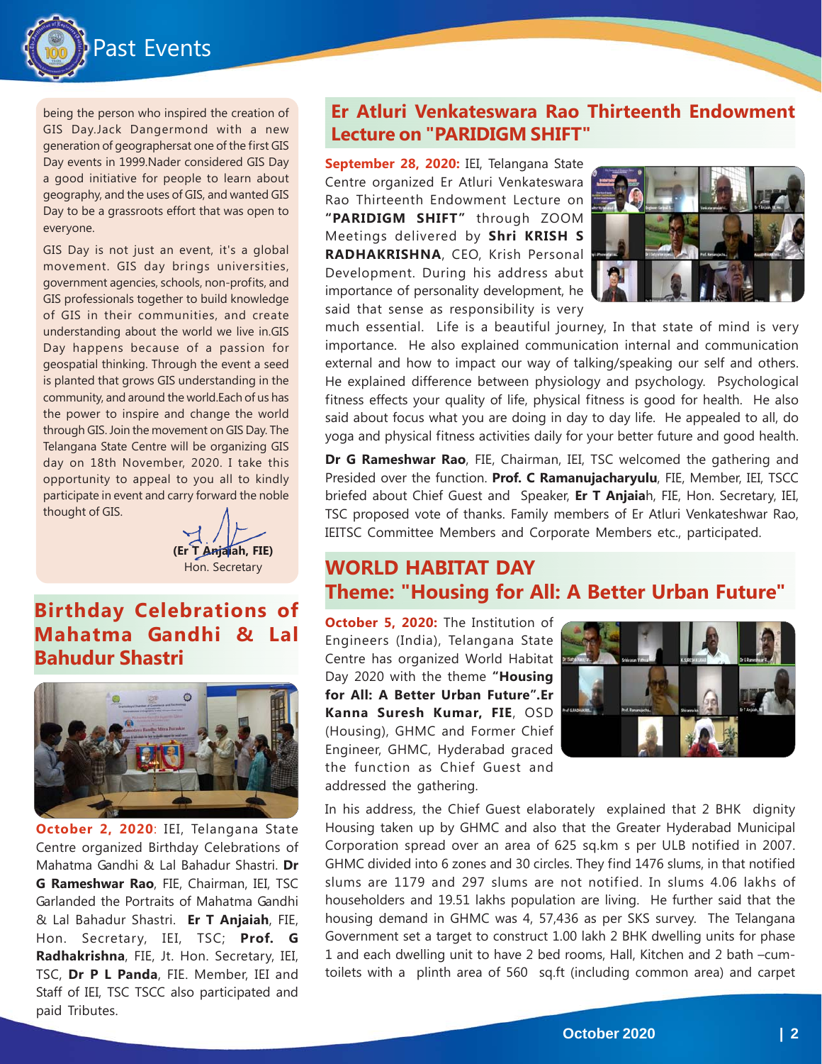

being the person who inspired the creation of GIS Day.Jack Dangermond with a new generation of geographersat one of the first GIS Day events in 1999.Nader considered GIS Day a good initiative for people to learn about geography, and the uses of GIS, and wanted GIS Day to be a grassroots effort that was open to everyone.

GIS Day is not just an event, it's a global movement. GIS day brings universities, government agencies, schools, non-profits, and GIS professionals together to build knowledge of GIS in their communities, and create understanding about the world we live in.GIS Day happens because of a passion for geospatial thinking. Through the event a seed is planted that grows GIS understanding in the community, and around the world.Each of us has the power to inspire and change the world through GIS. Join the movement on GIS Day. The Telangana State Centre will be organizing GIS day on 18th November, 2020. I take this opportunity to appeal to you all to kindly participate in event and carry forward the noble thought of GIS.

**(Er T Anjaiah, FIE)**

**Birthday Celebrations of Mahatma Gandhi & Lal Bahudur Shastri**



**October 2, 2020**: IEI, Telangana State Centre organized Birthday Celebrations of Mahatma Gandhi & Lal Bahadur Shastri. **Dr G Rameshwar Rao**, FIE, Chairman, IEI, TSC Garlanded the Portraits of Mahatma Gandhi & Lal Bahadur Shastri. **Er T Anjaiah**, FIE, Hon. Secretary, IEI, TSC; **Prof. G Radhakrishna**, FIE, Jt. Hon. Secretary, IEI, TSC, **Dr P L Panda**, FIE. Member, IEI and Staff of IEI, TSC TSCC also participated and paid Tributes.

### **Er Atluri Venkateswara Rao Thirteenth Endowment Lecture on "PARIDIGM SHIFT"**

**September 28, 2020:** IEI, Telangana State Centre organized Er Atluri Venkateswara Rao Thirteenth Endowment Lecture on **"PARIDIGM SHIFT"** through ZOOM Meetings delivered by **Shri KRISH S RADHAKRISHNA**, CEO, Krish Personal Development. During his address abut importance of personality development, he said that sense as responsibility is very



much essential. Life is a beautiful journey, In that state of mind is very importance. He also explained communication internal and communication external and how to impact our way of talking/speaking our self and others. He explained difference between physiology and psychology. Psychological fitness effects your quality of life, physical fitness is good for health. He also said about focus what you are doing in day to day life. He appealed to all, do yoga and physical fitness activities daily for your better future and good health.

**Dr G Rameshwar Rao**, FIE, Chairman, IEI, TSC welcomed the gathering and Presided over the function. **Prof. C Ramanujacharyulu**, FIE, Member, IEI, TSCC briefed about Chief Guest and Speaker, **Er T Anjaia**h, FIE, Hon. Secretary, IEI, TSC proposed vote of thanks. Family members of Er Atluri Venkateshwar Rao, IEITSC Committee Members and Corporate Members etc., participated.

## Hon. Secretary **WORLD HABITAT DAY Theme: "Housing for All: A Better Urban Future"**

**October 5, 2020:** The Institution of Engineers (India), Telangana State Centre has organized World Habitat Day 2020 with the theme **"Housing for All: A Better Urban Future".Er Kanna Suresh Kumar, FIE**, OSD (Housing), GHMC and Former Chief Engineer, GHMC, Hyderabad graced the function as Chief Guest and addressed the gathering.



In his address, the Chief Guest elaborately explained that 2 BHK dignity Housing taken up by GHMC and also that the Greater Hyderabad Municipal Corporation spread over an area of 625 sq.km s per ULB notified in 2007. GHMC divided into 6 zones and 30 circles. They find 1476 slums, in that notified slums are 1179 and 297 slums are not notified. In slums 4.06 lakhs of householders and 19.51 lakhs population are living. He further said that the housing demand in GHMC was 4, 57,436 as per SKS survey. The Telangana Government set a target to construct 1.00 lakh 2 BHK dwelling units for phase 1 and each dwelling unit to have 2 bed rooms, Hall, Kitchen and 2 bath –cumtoilets with a plinth area of 560 sq.ft (including common area) and carpet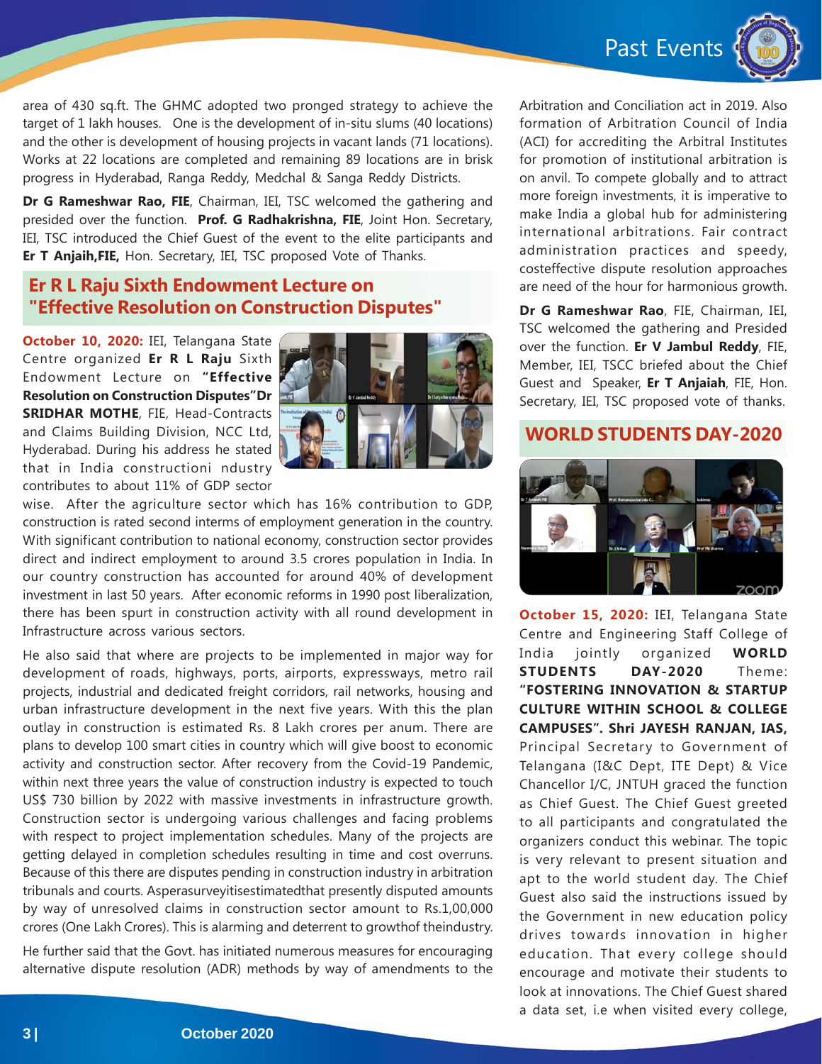Past Events



area of 430 sq.ft. The GHMC adopted two pronged strategy to achieve the target of 1 lakh houses. One is the development of in-situ slums (40 locations) and the other is development of housing projects in vacant lands (71 locations). Works at 22 locations are completed and remaining 89 locations are in brisk progress in Hyderabad, Ranga Reddy, Medchal & Sanga Reddy Districts.

**Dr G Rameshwar Rao, FIE**, Chairman, IEI, TSC welcomed the gathering and presided over the function. **Prof. G Radhakrishna, FIE**, Joint Hon. Secretary, IEI, TSC introduced the Chief Guest of the event to the elite participants and **Er T Anjaih,FIE,** Hon. Secretary, IEI, TSC proposed Vote of Thanks.

#### **Er R L Raju Sixth Endowment Lecture on "Effective Resolution on Construction Disputes"**

**October 10, 2020:** IEI, Telangana State Centre organized **Er R L Raju** Sixth Endowment Lecture on **"Effective Resolution on Construction Disputes"Dr SRIDHAR MOTHE**, FIE, Head-Contracts and Claims Building Division, NCC Ltd, Hyderabad. During his address he stated that in India constructioni ndustry contributes to about 11% of GDP sector



wise. After the agriculture sector which has 16% contribution to GDP, construction is rated second interms of employment generation in the country. With significant contribution to national economy, construction sector provides direct and indirect employment to around 3.5 crores population in India. In our country construction has accounted for around 40% of development investment in last 50 years. After economic reforms in 1990 post liberalization, there has been spurt in construction activity with all round development in Infrastructure across various sectors.

He also said that where are projects to be implemented in major way for development of roads, highways, ports, airports, expressways, metro rail projects, industrial and dedicated freight corridors, rail networks, housing and urban infrastructure development in the next five years. With this the plan outlay in construction is estimated Rs. 8 Lakh crores per anum. There are plans to develop 100 smart cities in country which will give boost to economic activity and construction sector. After recovery from the Covid-19 Pandemic, within next three years the value of construction industry is expected to touch US\$ 730 billion by 2022 with massive investments in infrastructure growth. Construction sector is undergoing various challenges and facing problems with respect to project implementation schedules. Many of the projects are getting delayed in completion schedules resulting in time and cost overruns. Because of this there are disputes pending in construction industry in arbitration tribunals and courts. Asperasurveyitisestimatedthat presently disputed amounts by way of unresolved claims in construction sector amount to Rs.1,00,000 crores (One Lakh Crores). This is alarming and deterrent to growthof theindustry.

He further said that the Govt. has initiated numerous measures for encouraging alternative dispute resolution (ADR) methods by way of amendments to the

Arbitration and Conciliation act in 2019. Also formation of Arbitration Council of India (ACI) for accrediting the Arbitral Institutes for promotion of institutional arbitration is on anvil. To compete globally and to attract more foreign investments, it is imperative to make India a global hub for administering international arbitrations. Fair contract administration practices and speedy, costeffective dispute resolution approaches are need of the hour for harmonious growth.

**Dr G Rameshwar Rao**, FIE, Chairman, IEI, TSC welcomed the gathering and Presided over the function. **Er V Jambul Reddy**, FIE, Member, IEI, TSCC briefed about the Chief Guest and Speaker, **Er T Anjaiah**, FIE, Hon. Secretary, IEI, TSC proposed vote of thanks.

#### **WORLD STUDENTS DAY-2020**



**October 15, 2020:** IEI, Telangana State Centre and Engineering Staff College of India jointly organized **WORLD STUDENTS DAY-2020** Theme: **"FOSTERING INNOVATION & STARTUP CULTURE WITHIN SCHOOL & COLLEGE CAMPUSES". Shri JAYESH RANJAN, IAS,** Principal Secretary to Government of Telangana (I&C Dept, ITE Dept) & Vice Chancellor I/C, JNTUH graced the function as Chief Guest. The Chief Guest greeted to all participants and congratulated the organizers conduct this webinar. The topic is very relevant to present situation and apt to the world student day. The Chief Guest also said the instructions issued by the Government in new education policy drives towards innovation in higher education. That every college should encourage and motivate their students to look at innovations. The Chief Guest shared a data set, i.e when visited every college,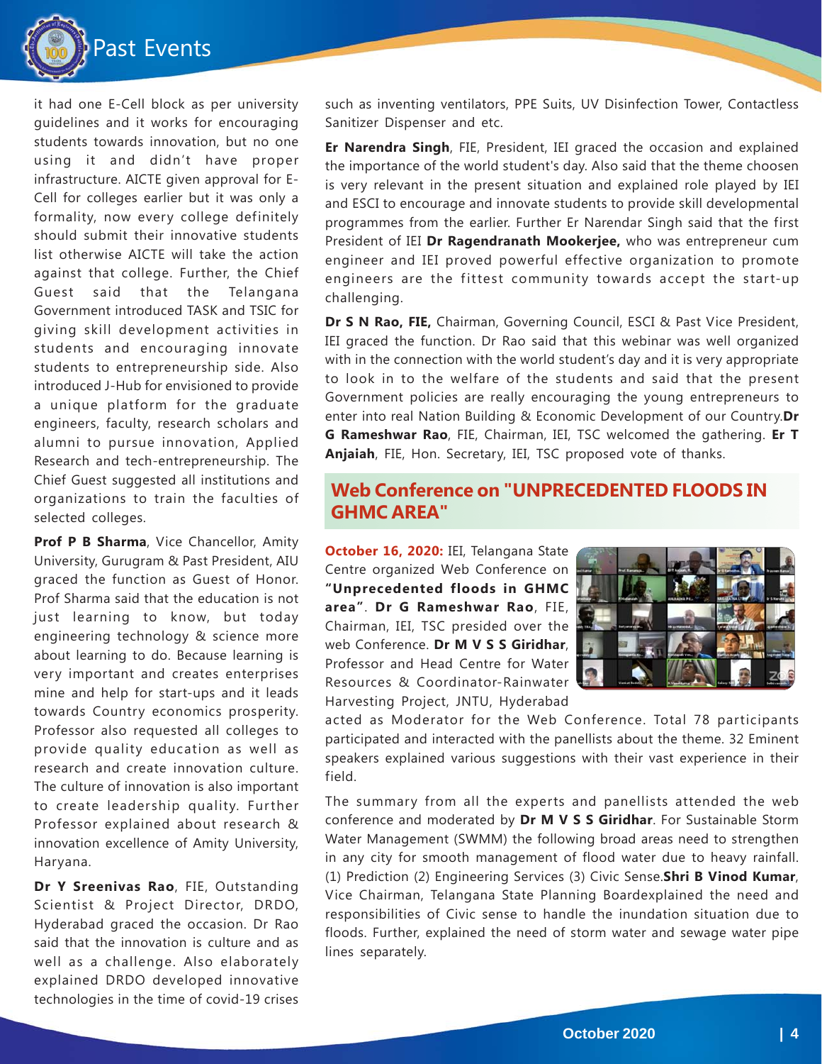

it had one E-Cell block as per university guidelines and it works for encouraging students towards innovation, but no one using it and didn't have proper infrastructure. AICTE given approval for E-Cell for colleges earlier but it was only a formality, now every college definitely should submit their innovative students list otherwise AICTE will take the action against that college. Further, the Chief Guest said that the Telangana Government introduced TASK and TSIC for giving skill development activities in students and encouraging innovate students to entrepreneurship side. Also introduced J-Hub for envisioned to provide a unique platform for the graduate engineers, faculty, research scholars and alumni to pursue innovation, Applied Research and tech-entrepreneurship. The Chief Guest suggested all institutions and organizations to train the faculties of selected colleges.

**Prof P B Sharma, Vice Chancellor, Amity** University, Gurugram & Past President, AIU graced the function as Guest of Honor. Prof Sharma said that the education is not just learning to know, but today engineering technology & science more about learning to do. Because learning is very important and creates enterprises mine and help for start-ups and it leads towards Country economics prosperity. Professor also requested all colleges to provide quality education as well as research and create innovation culture. The culture of innovation is also important to create leadership quality. Further Professor explained about research & innovation excellence of Amity University, Haryana.

**Dr Y Sreenivas Rao**, FIE, Outstanding Scientist & Project Director, DRDO, Hyderabad graced the occasion. Dr Rao said that the innovation is culture and as well as a challenge. Also elaborately explained DRDO developed innovative technologies in the time of covid-19 crises

such as inventing ventilators, PPE Suits, UV Disinfection Tower, Contactless Sanitizer Dispenser and etc.

**Er Narendra Singh**, FIE, President, IEI graced the occasion and explained the importance of the world student's day. Also said that the theme choosen is very relevant in the present situation and explained role played by IEI and ESCI to encourage and innovate students to provide skill developmental programmes from the earlier. Further Er Narendar Singh said that the first President of IEI **Dr Ragendranath Mookerjee,** who was entrepreneur cum engineer and IEI proved powerful effective organization to promote engineers are the fittest community towards accept the start-up challenging.

**Dr S N Rao, FIE,** Chairman, Governing Council, ESCI & Past Vice President, IEI graced the function. Dr Rao said that this webinar was well organized with in the connection with the world student's day and it is very appropriate to look in to the welfare of the students and said that the present Government policies are really encouraging the young entrepreneurs to enter into real Nation Building & Economic Development of our Country.**Dr G Rameshwar Rao**, FIE, Chairman, IEI, TSC welcomed the gathering. **Er T Anjaiah**, FIE, Hon. Secretary, IEI, TSC proposed vote of thanks.

#### **Web Conference on "UNPRECEDENTED FLOODS IN GHMC AREA"**

**October 16, 2020:** IEI, Telangana State Centre organized Web Conference on **"Unprecedented floods in GHMC area"**. **Dr G Rameshwar Rao**, FIE, Chairman, IEI, TSC presided over the web Conference. **Dr M V S S Giridhar**, Professor and Head Centre for Water Resources & Coordinator-Rainwater Harvesting Project, JNTU, Hyderabad



acted as Moderator for the Web Conference. Total 78 participants participated and interacted with the panellists about the theme. 32 Eminent speakers explained various suggestions with their vast experience in their field.

The summary from all the experts and panellists attended the web conference and moderated by **Dr M V S S Giridhar**. For Sustainable Storm Water Management (SWMM) the following broad areas need to strengthen in any city for smooth management of flood water due to heavy rainfall. (1) Prediction (2) Engineering Services (3) Civic Sense.**Shri B Vinod Kumar**, Vice Chairman, Telangana State Planning Boardexplained the need and responsibilities of Civic sense to handle the inundation situation due to floods. Further, explained the need of storm water and sewage water pipe lines separately.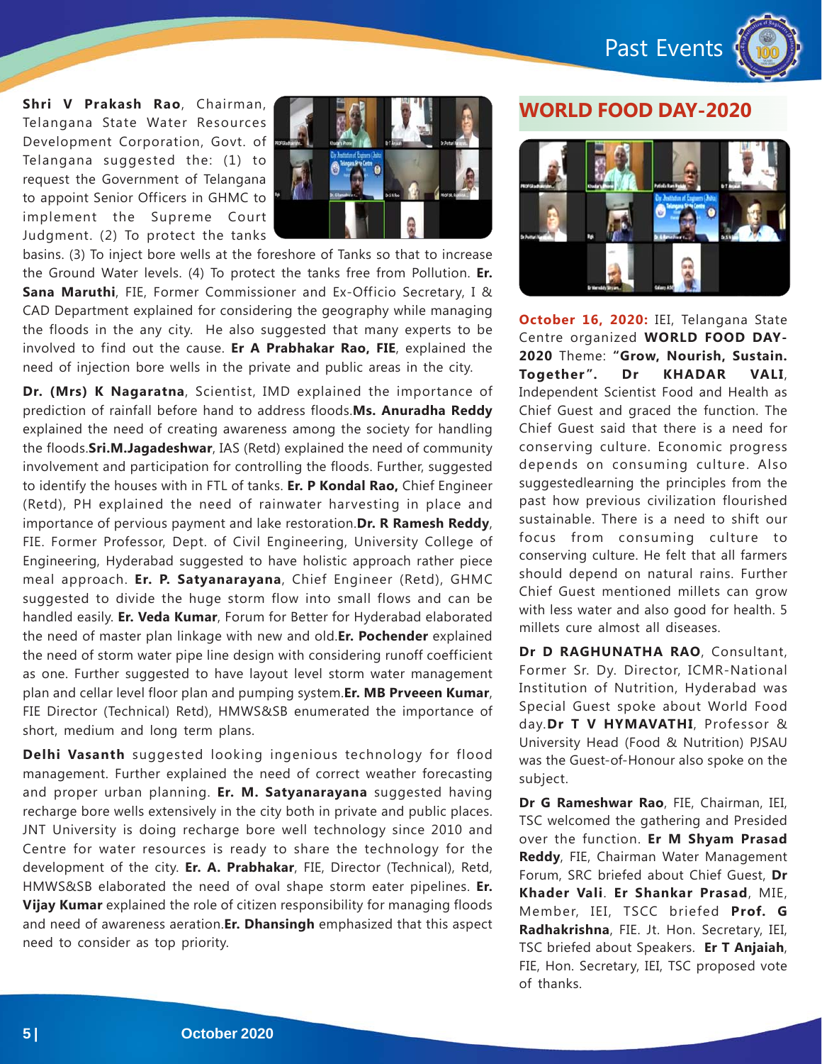Past Events



**Shri V Prakash Rao**, Chairman, Telangana State Water Resources Development Corporation, Govt. of Telangana suggested the: (1) to request the Government of Telangana to appoint Senior Officers in GHMC to implement the Supreme Court Judgment. (2) To protect the tanks



basins. (3) To inject bore wells at the foreshore of Tanks so that to increase the Ground Water levels. (4) To protect the tanks free from Pollution. **Er. Sana Maruthi**, FIE, Former Commissioner and Ex-Officio Secretary, I & CAD Department explained for considering the geography while managing the floods in the any city. He also suggested that many experts to be involved to find out the cause. **Er A Prabhakar Rao, FIE**, explained the need of injection bore wells in the private and public areas in the city.

**Dr. (Mrs) K Nagaratna**, Scientist, IMD explained the importance of prediction of rainfall before hand to address floods.**Ms. Anuradha Reddy** explained the need of creating awareness among the society for handling the floods.**Sri.M.Jagadeshwar**, IAS (Retd) explained the need of community involvement and participation for controlling the floods. Further, suggested to identify the houses with in FTL of tanks. **Er. P Kondal Rao,** Chief Engineer (Retd), PH explained the need of rainwater harvesting in place and importance of pervious payment and lake restoration.**Dr. R Ramesh Reddy**, FIE. Former Professor, Dept. of Civil Engineering, University College of Engineering, Hyderabad suggested to have holistic approach rather piece meal approach. **Er. P. Satyanarayana**, Chief Engineer (Retd), GHMC suggested to divide the huge storm flow into small flows and can be handled easily. **Er. Veda Kumar**, Forum for Better for Hyderabad elaborated the need of master plan linkage with new and old.**Er. Pochender** explained the need of storm water pipe line design with considering runoff coefficient as one. Further suggested to have layout level storm water management plan and cellar level floor plan and pumping system.**Er. MB Prveeen Kumar**, FIE Director (Technical) Retd), HMWS&SB enumerated the importance of short, medium and long term plans.

**Delhi Vasanth** suggested looking ingenious technology for flood management. Further explained the need of correct weather forecasting and proper urban planning. **Er. M. Satyanarayana** suggested having recharge bore wells extensively in the city both in private and public places. JNT University is doing recharge bore well technology since 2010 and Centre for water resources is ready to share the technology for the development of the city. **Er. A. Prabhakar**, FIE, Director (Technical), Retd, HMWS&SB elaborated the need of oval shape storm eater pipelines. **Er. Vijay Kumar** explained the role of citizen responsibility for managing floods and need of awareness aeration.**Er. Dhansingh** emphasized that this aspect need to consider as top priority.

#### **WORLD FOOD DAY-2020**



**October 16, 2020:** IEI, Telangana State Centre organized **WORLD FOOD DAY-2020** Theme: **"Grow, Nourish, Sustain. Together". Dr KHADAR VALI**, Independent Scientist Food and Health as Chief Guest and graced the function. The Chief Guest said that there is a need for conserving culture. Economic progress depends on consuming culture. Also suggestedlearning the principles from the past how previous civilization flourished sustainable. There is a need to shift our focus from consuming culture to conserving culture. He felt that all farmers should depend on natural rains. Further Chief Guest mentioned millets can grow with less water and also good for health. 5 millets cure almost all diseases.

**Dr D RAGHUNATHA RAO**, Consultant, Former Sr. Dy. Director, ICMR-National Institution of Nutrition, Hyderabad was Special Guest spoke about World Food day.**Dr T V HYMAVATHI**, Professor & University Head (Food & Nutrition) PJSAU was the Guest-of-Honour also spoke on the subject.

**Dr G Rameshwar Rao**, FIE, Chairman, IEI, TSC welcomed the gathering and Presided over the function. **Er M Shyam Prasad Reddy**, FIE, Chairman Water Management Forum, SRC briefed about Chief Guest, **Dr Khader Vali**. **Er Shankar Prasad**, MIE, Member, IEI, TSCC briefed **Prof. G Radhakrishna**, FIE. Jt. Hon. Secretary, IEI, TSC briefed about Speakers. **Er T Anjaiah**, FIE, Hon. Secretary, IEI, TSC proposed vote of thanks.